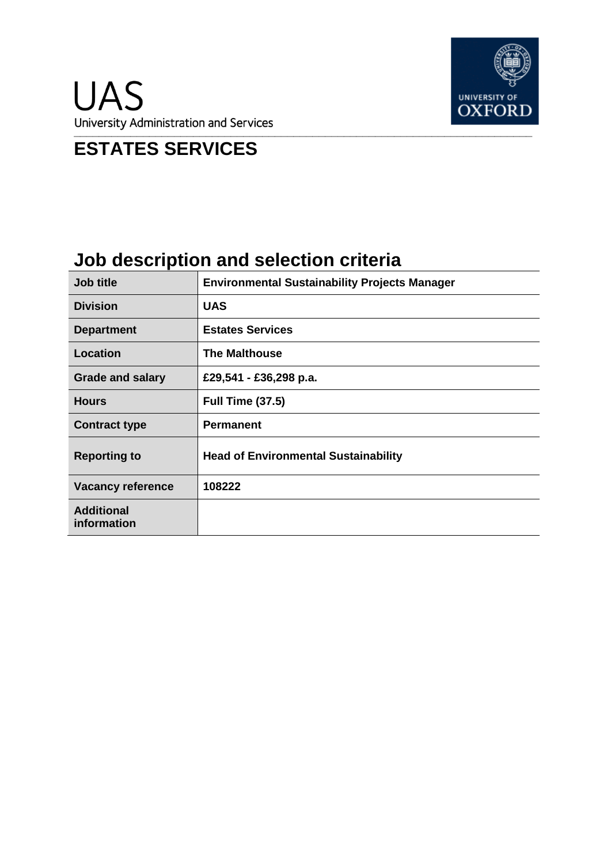

# **ESTATES SERVICES**

# **Job description and selection criteria**

| Job title                        | <b>Environmental Sustainability Projects Manager</b> |
|----------------------------------|------------------------------------------------------|
| <b>Division</b>                  | <b>UAS</b>                                           |
| <b>Department</b>                | <b>Estates Services</b>                              |
| <b>Location</b>                  | <b>The Malthouse</b>                                 |
| <b>Grade and salary</b>          | £29,541 - £36,298 p.a.                               |
| <b>Hours</b>                     | <b>Full Time (37.5)</b>                              |
| <b>Contract type</b>             | <b>Permanent</b>                                     |
| <b>Reporting to</b>              | <b>Head of Environmental Sustainability</b>          |
| <b>Vacancy reference</b>         | 108222                                               |
| <b>Additional</b><br>information |                                                      |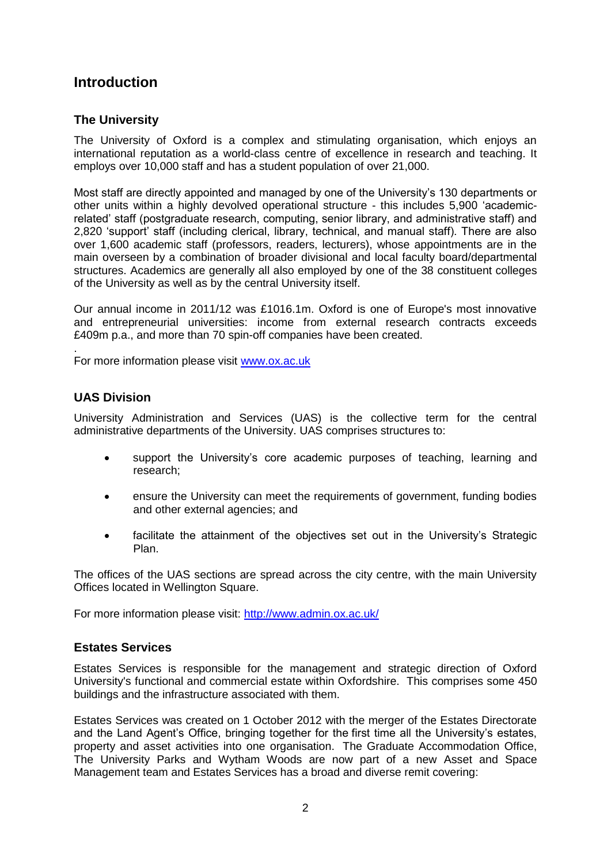## **Introduction**

### **The University**

The University of Oxford is a complex and stimulating organisation, which enjoys an international reputation as a world-class centre of excellence in research and teaching. It employs over 10,000 staff and has a student population of over 21,000.

Most staff are directly appointed and managed by one of the University's 130 departments or other units within a highly devolved operational structure - this includes 5,900 'academicrelated' staff (postgraduate research, computing, senior library, and administrative staff) and 2,820 'support' staff (including clerical, library, technical, and manual staff). There are also over 1,600 academic staff (professors, readers, lecturers), whose appointments are in the main overseen by a combination of broader divisional and local faculty board/departmental structures. Academics are generally all also employed by one of the 38 constituent colleges of the University as well as by the central University itself.

Our annual income in 2011/12 was £1016.1m. Oxford is one of Europe's most innovative and entrepreneurial universities: income from external research contracts exceeds £409m p.a., and more than 70 spin-off companies have been created.

For more information please visit [www.ox.ac.uk](http://www.ox.ac.uk/)

#### **UAS Division**

.

University Administration and Services (UAS) is the collective term for the central administrative departments of the University. UAS comprises structures to:

- support the University's core academic purposes of teaching, learning and research;
- ensure the University can meet the requirements of government, funding bodies and other external agencies; and
- facilitate the attainment of the objectives set out in the University's Strategic Plan.

The offices of the UAS sections are spread across the city centre, with the main University Offices located in Wellington Square.

For more information please visit:<http://www.admin.ox.ac.uk/>

### **Estates Services**

Estates Services is responsible for the management and strategic direction of Oxford University's functional and commercial estate within Oxfordshire. This comprises some 450 buildings and the infrastructure associated with them.

Estates Services was created on 1 October 2012 with the merger of the Estates Directorate and the Land Agent's Office, bringing together for the first time all the University's estates, property and asset activities into one organisation. The Graduate Accommodation Office, The University Parks and Wytham Woods are now part of a new [Asset and Space](http://www.admin.ox.ac.uk/estates/assetspace/#d.en.85393)  [Management team](http://www.admin.ox.ac.uk/estates/assetspace/#d.en.85393) and Estates Services has a broad and diverse remit covering: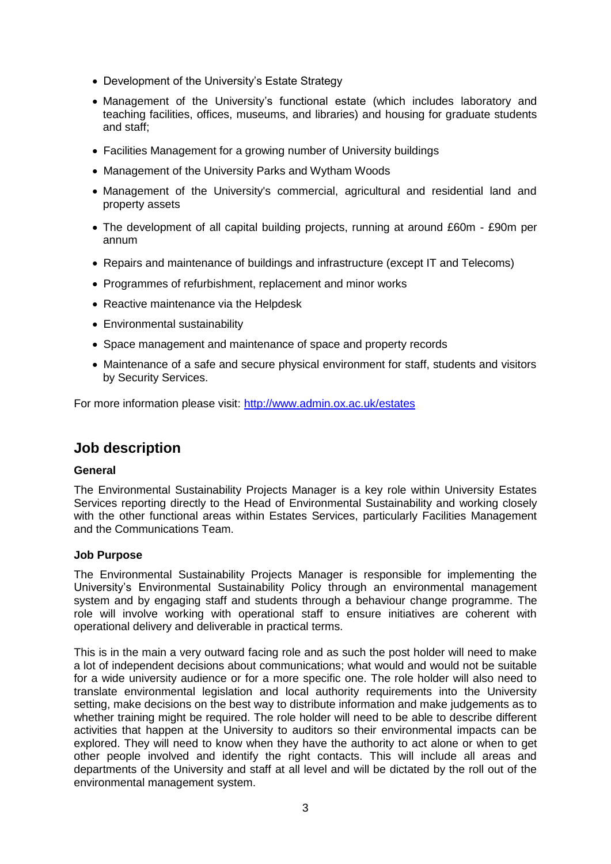- Development of the University's Estate Strategy
- Management of the University's functional estate (which includes laboratory and teaching facilities, offices, museums, and libraries) and [housing for graduate students](http://www.admin.ox.ac.uk/accommodation/) and staff;
- Facilities Management for a growing number of University buildings
- Management of the University Parks and Wytham Woods
- Management of the University's commercial, agricultural and residential land and property assets
- The development of all capital building projects, running at around £60m £90m per annum
- Repairs and maintenance of buildings and infrastructure (except IT and Telecoms)
- Programmes of refurbishment, replacement and minor works
- Reactive maintenance via the Helpdesk
- Environmental sustainability
- Space management and maintenance of space and property records
- Maintenance of a safe and secure physical environment for staff, students and visitors by [Security Services.](http://www.admin.ox.ac.uk/ouss/)

For more information please visit:<http://www.admin.ox.ac.uk/estates>

## **Job description**

#### **General**

The Environmental Sustainability Projects Manager is a key role within University Estates Services reporting directly to the Head of Environmental Sustainability and working closely with the other functional areas within Estates Services, particularly Facilities Management and the Communications Team.

#### **Job Purpose**

The Environmental Sustainability Projects Manager is responsible for implementing the University's Environmental Sustainability Policy through an environmental management system and by engaging staff and students through a behaviour change programme. The role will involve working with operational staff to ensure initiatives are coherent with operational delivery and deliverable in practical terms.

This is in the main a very outward facing role and as such the post holder will need to make a lot of independent decisions about communications; what would and would not be suitable for a wide university audience or for a more specific one. The role holder will also need to translate environmental legislation and local authority requirements into the University setting, make decisions on the best way to distribute information and make judgements as to whether training might be required. The role holder will need to be able to describe different activities that happen at the University to auditors so their environmental impacts can be explored. They will need to know when they have the authority to act alone or when to get other people involved and identify the right contacts. This will include all areas and departments of the University and staff at all level and will be dictated by the roll out of the environmental management system.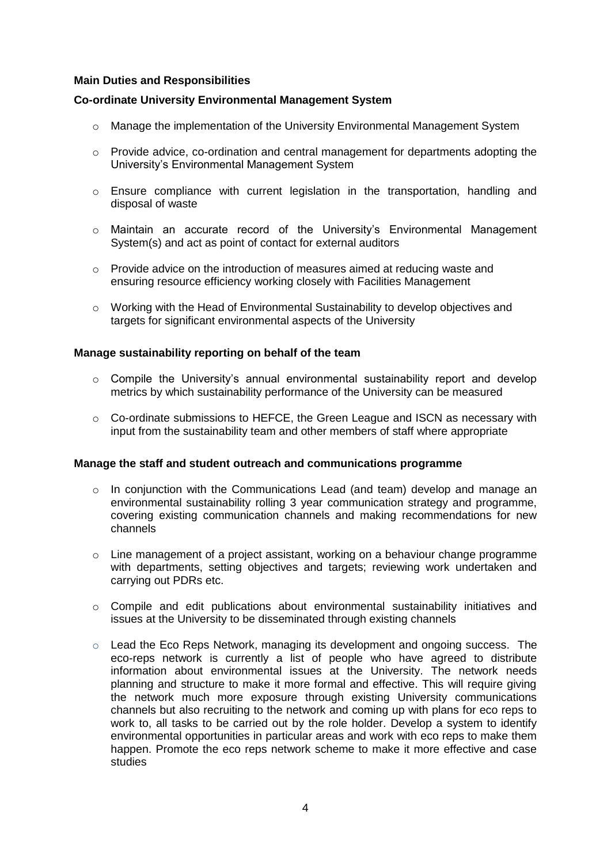#### **Main Duties and Responsibilities**

#### **Co-ordinate University Environmental Management System**

- $\circ$  Manage the implementation of the University Environmental Management System
- $\circ$  Provide advice, co-ordination and central management for departments adopting the University's Environmental Management System
- $\circ$  Ensure compliance with current legislation in the transportation, handling and disposal of waste
- o Maintain an accurate record of the University's Environmental Management System(s) and act as point of contact for external auditors
- $\circ$  Provide advice on the introduction of measures aimed at reducing waste and ensuring resource efficiency working closely with Facilities Management
- $\circ$  Working with the Head of Environmental Sustainability to develop objectives and targets for significant environmental aspects of the University

#### **Manage sustainability reporting on behalf of the team**

- $\circ$  Compile the University's annual environmental sustainability report and develop metrics by which sustainability performance of the University can be measured
- $\circ$  Co-ordinate submissions to HEFCE, the Green League and ISCN as necessary with input from the sustainability team and other members of staff where appropriate

#### **Manage the staff and student outreach and communications programme**

- $\circ$  In conjunction with the Communications Lead (and team) develop and manage an environmental sustainability rolling 3 year communication strategy and programme, covering existing communication channels and making recommendations for new channels
- $\circ$  Line management of a project assistant, working on a behaviour change programme with departments, setting objectives and targets; reviewing work undertaken and carrying out PDRs etc.
- $\circ$  Compile and edit publications about environmental sustainability initiatives and issues at the University to be disseminated through existing channels
- $\circ$  Lead the Eco Reps Network, managing its development and ongoing success. The eco-reps network is currently a list of people who have agreed to distribute information about environmental issues at the University. The network needs planning and structure to make it more formal and effective. This will require giving the network much more exposure through existing University communications channels but also recruiting to the network and coming up with plans for eco reps to work to, all tasks to be carried out by the role holder. Develop a system to identify environmental opportunities in particular areas and work with eco reps to make them happen. Promote the eco reps network scheme to make it more effective and case studies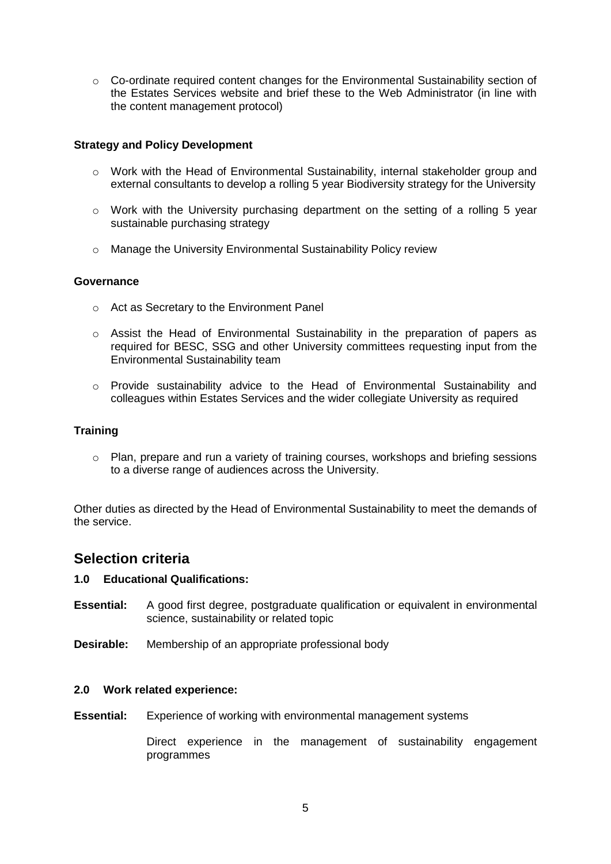$\circ$  Co-ordinate required content changes for the Environmental Sustainability section of the Estates Services website and brief these to the Web Administrator (in line with the content management protocol)

#### **Strategy and Policy Development**

- o Work with the Head of Environmental Sustainability, internal stakeholder group and external consultants to develop a rolling 5 year Biodiversity strategy for the University
- $\circ$  Work with the University purchasing department on the setting of a rolling 5 year sustainable purchasing strategy
- o Manage the University Environmental Sustainability Policy review

#### **Governance**

- o Act as Secretary to the Environment Panel
- o Assist the Head of Environmental Sustainability in the preparation of papers as required for BESC, SSG and other University committees requesting input from the Environmental Sustainability team
- $\circ$  Provide sustainability advice to the Head of Environmental Sustainability and colleagues within Estates Services and the wider collegiate University as required

#### **Training**

 $\circ$  Plan, prepare and run a variety of training courses, workshops and briefing sessions to a diverse range of audiences across the University.

Other duties as directed by the Head of Environmental Sustainability to meet the demands of the service.

## **Selection criteria**

#### **1.0 Educational Qualifications:**

- **Essential:** A good first degree, postgraduate qualification or equivalent in environmental science, sustainability or related topic
- **Desirable:** Membership of an appropriate professional body

#### **2.0 Work related experience:**

**Essential:** Experience of working with environmental management systems

Direct experience in the management of sustainability engagement programmes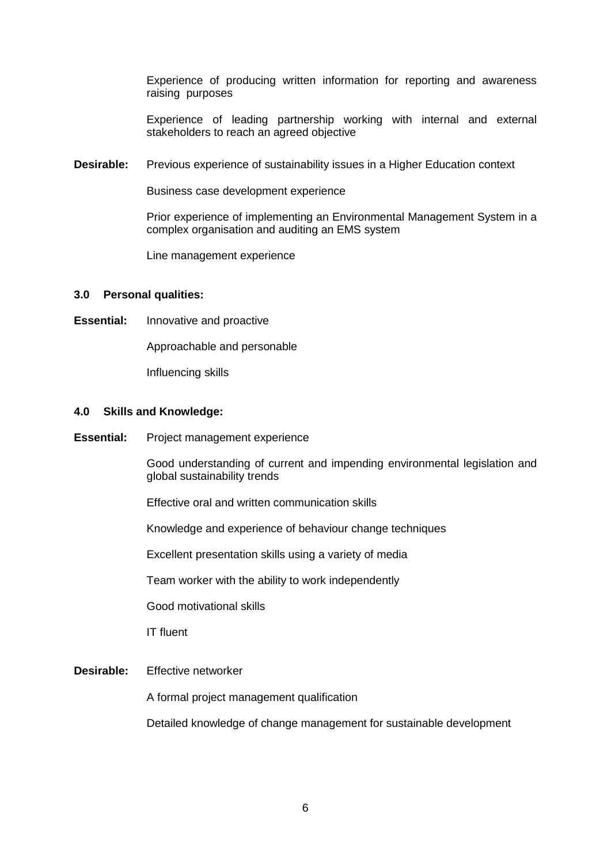Experience of producing written information for reporting and awareness raising purposes

Experience of leading partnership working with internal and external stakeholders to reach an agreed objective

**Desirable:** Previous experience of sustainability issues in a Higher Education context

Business case development experience

Prior experience of implementing an Environmental Management System in a complex organisation and auditing an EMS system

Line management experience

#### **3.0 Personal qualities:**

**Essential:** Innovative and proactive

Approachable and personable

Influencing skills

#### **4.0 Skills and Knowledge:**

**Essential:** Project management experience

Good understanding of current and impending environmental legislation and global sustainability trends

Effective oral and written communication skills

Knowledge and experience of behaviour change techniques

Excellent presentation skills using a variety of media

Team worker with the ability to work independently

Good motivational skills

IT fluent

#### **Desirable:** Effective networker

A formal project management qualification

Detailed knowledge of change management for sustainable development